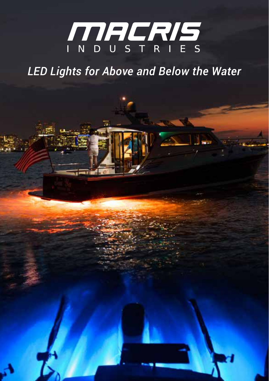

### *LED Lights for Above and Below the Water*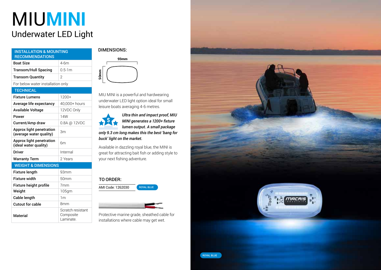## MIU**MINI** Underwater LED Light

| <b>INSTALLATION &amp; MOUNTING</b> |  |
|------------------------------------|--|
| <b>RECOMMENDATIONS</b>             |  |

| <b>Boat Size</b>                  | $4-6m$     |
|-----------------------------------|------------|
| <b>Transom/Hull Spacing</b>       | $0.5 - 1m$ |
| <b>Transom Quantity</b>           | 2          |
| For below water installation only |            |

#### **TECHNICAL**

| <b>Fixture Lumens</b>                               | $1200+$                                     |
|-----------------------------------------------------|---------------------------------------------|
| Average life expectancy                             | 40,000+ hours                               |
| Available Voltage                                   | 12VDC Only                                  |
| Power                                               | 14W                                         |
| Current/Amp draw                                    | 0.8A @ 12VDC                                |
| Approx light penetration<br>(average water quality) | Зm                                          |
| Approx light penetration<br>(ideal water quality)   | бm                                          |
| Driver                                              | Internal                                    |
| <b>Warranty Term</b>                                | 2 Years                                     |
| <b>WEIGHT &amp; DIMENSIONS</b>                      |                                             |
| Fixture length                                      | 93mm                                        |
| Fixture width                                       | 50mm                                        |
| <b>Fixture height profile</b>                       | 7 <sub>mm</sub>                             |
| Weight                                              | $105$ qm                                    |
| Cable length                                        | 1 <sub>m</sub>                              |
| <b>Cutout for cable</b>                             | 8mm                                         |
| Material                                            | Scratch resistant<br>Composite<br>Laminate. |

#### DIMENSIONS:



MIU MINI is a powerful and hardwearing underwater LED light option ideal for small leisure boats averaging 4-6 metres.

*Ultra thin and impact proof, MIU MINI generates a 1200+ fixture lumen output. A small package only 9.3 cm long makes this the best 'bang for buck' light on the market.*

Available in dazzling royal blue, the MINI is great for attracting bait fish or adding style to your next fishing adventure.

#### TO ORDER:





Protective marine grade, sheathed cable for installations where cable may get wet.

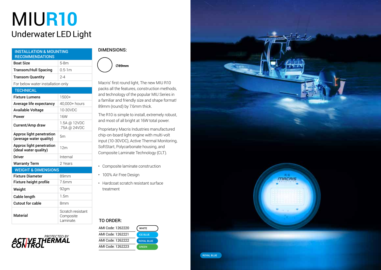## MIU**R10** Underwater LED Light

| <b>INSTALLATION &amp; MOUNTING</b> |  |
|------------------------------------|--|
| <b>RECOMMENDATIONS</b>             |  |

| Boat Size                         | $5-8m$     |
|-----------------------------------|------------|
| Transom/Hull Spacing              | $0.5 - 1m$ |
| Transom Quantity                  | $2 - 4$    |
| For below water installation only |            |
|                                   |            |

#### **TECHNICAL** Fixture Lumens 1500+ Average life expectancy  $\vert$  40,000+ hours Available Voltage | 10-30VDC Power 16W Current/Amp draw 1.5A @ 12VDC .75A @ 24VDC Approx light penetration  $\frac{1}{2}$  Approx light perietration  $\frac{1}{2}$  5m Approx light penetration Approx light penetration  $\frac{12m}{12m}$ **Driver** Internal Warranty Term 2 Years WEIGHT & DIMENSIONS Fixture Diameter 89mm Fixture height profile 7.6mm Weight 92gm Cable length 1.5m Cutout for cable 8mm Scratch resistant Composite

Material

## **ACTIVE THERMAL**

Laminate.

#### DIMENSIONS:



Macris' first round light, The new MIU R10 packs all the features, construction methods, and technology of the popular MIU Series in a familiar and friendly size and shape format! 89mm (round) by 7.6mm thick.

The R10 is simple to install, extremely robust, and most of all bright at 16W total power.

Proprietary Macris Industries manufactured chip-on-board light engine with multi-volt input (10-30VDC), Active Thermal Monitoring, SoftStart, Polycarbonate housing, and Composite Laminate Technology (CLT).

- Composite laminate construction
- 100% Air Free Design
- Hardcoat scratch resistant surface treatment

#### TO ORDER:

| AMI Code: 1262220 | <b>WHITE</b>      |
|-------------------|-------------------|
| AMI Code: 1262221 | <b>ICE BLUE</b>   |
| AMI Code: 1262222 | <b>ROYAL BLUE</b> |
| AMI Code: 1262223 | <b>GREEN</b>      |

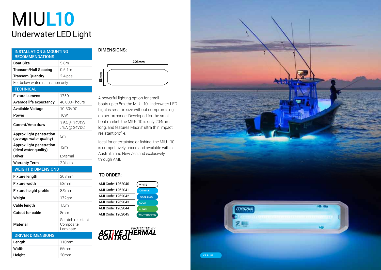## MIU**L10** Underwater LED Light

| <b>INSTALLATION &amp; MOUNTING</b><br><b>RECOMMENDATIONS</b> |            |
|--------------------------------------------------------------|------------|
| <b>Boat Size</b>                                             | $5-8m$     |
| <b>Transom/Hull Spacing</b>                                  | $0.5 - 1m$ |
| <b>Transom Quantity</b><br>$2-4$ pcs                         |            |
| For below water installation only                            |            |

#### **TECHNICAL**

Material

DRIVER DIMENSIONS

Length 110mm Width 55mm Height 28mm

| <b>Fixture Lumens</b>                               | 1750                         |
|-----------------------------------------------------|------------------------------|
| Average life expectancy                             | 40,000+ hours                |
| Available Voltage                                   | 10-30VDC                     |
| Power                                               | <b>16W</b>                   |
| Current/Amp draw                                    | 1.5A @ 12VDC<br>.75A @ 24VDC |
| Approx light penetration<br>(average water quality) | 5 <sub>m</sub>               |
| Approx light penetration<br>(ideal water quality)   | 12 <sub>m</sub>              |
| Driver                                              | External                     |
| <b>Warranty Term</b>                                | 2 Years                      |
| <b>WEIGHT &amp; DIMENSIONS</b>                      |                              |
| <b>Fixture length</b>                               | 203mm                        |
| Fixture width                                       | 53mm                         |
| Fixture height profile                              | 8.9mm                        |
| Weight                                              | $172$ gm                     |
| Cable length                                        | 1.5m                         |
| <b>Cutout for cable</b>                             | 8mm                          |
|                                                     | Scratch resistant            |

Composite Laminate.

#### DIMENSIONS:



A powerful lighting option for small boats up to 8m, the MIU-L10 Underwater LED Light is small in size without compromising on performance. Developed for the small boat market, the MIU-L10 is only 204mm long, and features Macris' ultra thin impact resistant profile.

Ideal for entertaining or fishing, the MIU-L10 is competitively priced and available within Australia and New Zealand exclusively through AMI.

#### TO ORDER:

| AMI Code: 1262040 | <b>WHITE</b>       |
|-------------------|--------------------|
| AMI Code: 1262041 | <b>ICE BLUE</b>    |
| AMI Code: 1262042 | <b>ROYAL BLUE</b>  |
| AMI Code: 1262043 | <b>AQUA</b>        |
| AMI Code: 1262044 | <b>GREEN</b>       |
| AMI Code: 1262045 | <b>WINTERGREEN</b> |
|                   |                    |



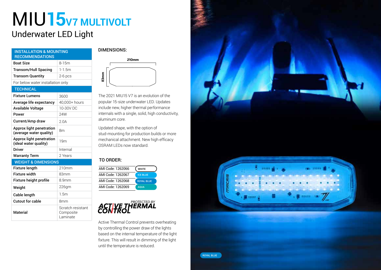## MIU15<sub>V7</sub> MULTIVOLT Underwater LED Light

| <b>INSTALLATION &amp; MOUNTING</b> |  |
|------------------------------------|--|
| <b>RECOMMENDATIONS</b>             |  |

| <b>Boat Size</b>                  | $8-15m$    |
|-----------------------------------|------------|
| <b>Transom/Hull Spacing</b>       | $1 - 1.5m$ |
| <b>Transom Quantity</b>           | $2-6$ pcs  |
| For below water installation only |            |

#### **TECHNICAL**

| <b>Fixture Lumens</b>                               | 3600            |  |
|-----------------------------------------------------|-----------------|--|
| Average life expectancy                             | 40,000+ hours   |  |
| Available Voltage                                   | 10-30V DC       |  |
| Power                                               | 24W             |  |
| Current/Amp draw                                    | 2.0A            |  |
| Approx light penetration<br>(average water quality) | 8m              |  |
| Approx light penetration<br>(ideal water quality)   | 19 <sub>m</sub> |  |
| Driver                                              | Internal        |  |
| <b>Warranty Term</b>                                | 2 Years         |  |
| <b>WEIGHT &amp; DIMENSIONS</b>                      |                 |  |
| <b>Fixture length</b>                               | 210mm           |  |
| <b>Fixture width</b>                                | 83mm            |  |
| Fixture height profile                              | 8.9mm           |  |

Weight 226gm Cable length 1.5m Cutout for cable 8mm

> Scratch resistant Composite Laminate

Material

#### DIMENSIONS:



The 2021 MIU15 V7 is an evolution of the popular 15-size underwater LED. Updates include new, higher thermal performance internals with a single, solid, high conductivity, aluminum core.

Updated shape, with the option of stud-mounting for production builds or more mechanical attachment. New high efficacy OSRAM LEDs now standard.

#### TO ORDER:

| <b>WHITE</b>      |
|-------------------|
| <b>ICE BLUE</b>   |
| <b>ROYAL BLUE</b> |
| <b>AOUA</b>       |
|                   |



Active Thermal Control prevents overheating by controlling the power draw of the lights based on the internal temperature of the light fixture. This will result in dimming of the light until the temperature is reduced.





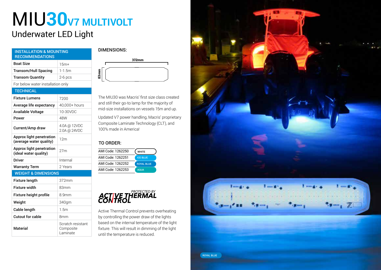## MIU**30V7 MULTIVOLT** Underwater LED Light

| <b>INSTALLATION &amp; MOUNTING</b> |  |
|------------------------------------|--|
| <b>RECOMMENDATIONS</b>             |  |

| <b>Boat Size</b>            | $15m+$     |
|-----------------------------|------------|
| <b>Transom/Hull Spacing</b> | $1 - 1.5m$ |
| <b>Transom Quantity</b>     | $2-6$ pcs  |
|                             |            |

For below water installation only

#### **TECHNICAL**

| Fixture Lumens                                      | 7200                                       |
|-----------------------------------------------------|--------------------------------------------|
| Average life expectancy                             | 40,000+ hours                              |
| Available Voltage                                   | 10-30VDC                                   |
| Power                                               | 48W                                        |
| Current/Amp draw                                    | 4.0A @ 12VDC<br>2.0A @ 24VDC               |
| Approx light penetration<br>(average water quality) | 12 <sub>m</sub>                            |
| Approx light penetration<br>(ideal water quality)   | 27 <sub>m</sub>                            |
| <b>Driver</b>                                       | Internal                                   |
| <b>Warranty Term</b>                                | 2 Years                                    |
| <b>WEIGHT &amp; DIMENSIONS</b>                      |                                            |
| <b>Fixture length</b>                               | 372mm                                      |
| Fixture width                                       | 83mm                                       |
| Fixture height profile                              | 8.9mm                                      |
| Weight                                              | 340gm                                      |
| Cable length                                        | 1.5m                                       |
| <b>Cutout for cable</b>                             | 8mm                                        |
| Material                                            | Scratch resistant<br>Composite<br>Laminate |

#### DIMENSIONS:



The MIU30 was Macris' first size class created and still their go-to lamp for the majority of mid-size installations on vessels 15m and up.

Updated V7 power handling, Macris' proprietary Composite Laminate Technology (CLT), and 100% made in America!

#### TO ORDER:

| AMI Code: 1262250 | <b>WHITE</b>      |
|-------------------|-------------------|
| AMI Code: 1262251 | <b>ICE BLUE</b>   |
| AMI Code: 1262252 | <b>ROYAL BLUE</b> |
| AMI Code: 1262253 | <b>AOUA</b>       |
|                   |                   |



Active Thermal Control prevents overheating by controlling the power draw of the lights based on the internal temperature of the light fixture. This will result in dimming of the light until the temperature is reduced.

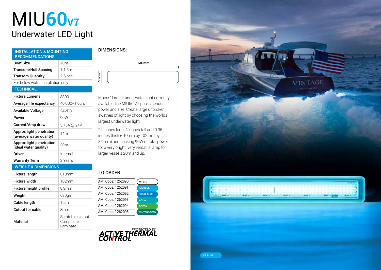## **MIU60v7** Underwater LED Light

| <b>INSTALLATION &amp; MOUNTING</b> |  |
|------------------------------------|--|
| <b>RECOMMENDATIONS</b>             |  |

| <b>Boat Size</b>                  | $20m+$     |
|-----------------------------------|------------|
| <b>Transom/Hull Spacing</b>       | $1 - 1.5m$ |
| <b>Transom Quantity</b>           | $2-6$ pcs  |
| For below water installation only |            |

#### **TECHNICAL**

| <b>Fixture Lumens</b>                               | 8800                           |
|-----------------------------------------------------|--------------------------------|
| Average life expectancy                             | 40,000+ hours                  |
| Available Voltage                                   | 24VDC                          |
| Power                                               | 90W                            |
| Current/Amp draw                                    | 3.75A @ 24V                    |
| Approx light penetration<br>(average water quality) | 12 <sub>m</sub>                |
| Approx light penetration<br>(ideal water quality)   | 30 <sub>m</sub>                |
| <b>Driver</b>                                       | Internal                       |
| <b>Warranty Term</b>                                | 2 Years                        |
| <b>WEIGHT &amp; DIMENSIONS</b>                      |                                |
| Fixture length                                      | 610mm                          |
| Fixture width                                       | 102mm                          |
| <b>Fixture height profile</b>                       | 8.9mm                          |
| Weight                                              | 680gm                          |
| Cable length                                        | 1.5m                           |
| <b>Cutout for cable</b>                             | 8mm                            |
| Material                                            | Scratch resistant<br>Composite |

Laminate

#### DIMENSIONS:



Macris' largest underwater light currently available, the MIU60 V7 packs serious power and size! Create large unbroken swathes of light by choosing the worlds largest underwater light.

24 inches long, 4 inches tall and 0.35 inches thick (610mm by 102mm by 8.9mm) and packing 90W of total power for a very bright, very versatile lamp for larger vessels 20m and up.

#### TO ORDER:

| AMI Code: 1262090 | <b>WHITE</b>       |
|-------------------|--------------------|
| AMI Code: 1262091 | <b>ICE BLUE</b>    |
| AMI Code: 1262092 | <b>ROYAL BLUE</b>  |
| AMI Code: 1262093 | <b>AQUA</b>        |
| AMI Code: 1262094 | <b>GREEN</b>       |
| AMI Code: 1262095 | <b>WINTERGREEN</b> |
|                   |                    |



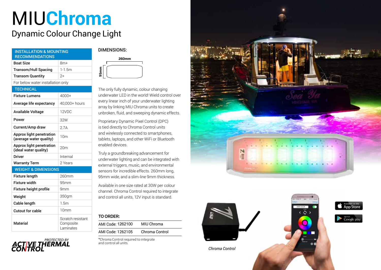# MIU**Chroma**

## Dynamic Colour Change Light

| <b>INSTALLATION &amp; MOUNTING</b> |  |
|------------------------------------|--|
| <b>RECOMMENDATIONS</b>             |  |

| <b>Boat Size</b>            | $8m+$      |
|-----------------------------|------------|
| <b>Transom/Hull Spacing</b> | $1 - 1.5m$ |
| <b>Transom Quantity</b>     | 2+         |
|                             |            |

For below water installation only

#### **TECHNICAL**

| Fixture Lumens                                      | $4000+$         |  |
|-----------------------------------------------------|-----------------|--|
| Average life expectancy                             | 40.000+ hours   |  |
| Available Voltage                                   | 12VDC           |  |
| Power                                               | 32W             |  |
| Current/Amp draw                                    | 2 7 A           |  |
| Approx light penetration<br>(average water quality) | 10 <sub>m</sub> |  |
| Approx light penetration<br>(ideal water quality)   | 20m             |  |
| Driver                                              | Internal        |  |
| <b>Warranty Term</b>                                | 2 Years         |  |
| <b>WEIGHT &amp; DIMENSIONS</b>                      |                 |  |
| <b>Fixture length</b>                               | 260mm           |  |

| Fixture length          | 260mm                                       |  |  |  |
|-------------------------|---------------------------------------------|--|--|--|
| <b>Fixture width</b>    | 95mm                                        |  |  |  |
| Fixture height profile  | 9 <sub>mm</sub>                             |  |  |  |
| Weight                  | 350gm                                       |  |  |  |
| Cable length            | 1.5 <sub>m</sub>                            |  |  |  |
| <b>Cutout for cable</b> | 10mm                                        |  |  |  |
| Material                | Scratch resistant<br>Composite<br>Laminates |  |  |  |



#### DIMENSIONS:



The only fully dynamic, colour changing underwater LED in the world! Wield control over every linear inch of your underwater lighting array by linking MIU Chroma units to create unbroken, fluid, and sweeping dynamic effects.

Proprietary Dynamic Pixel Control (DPC) is tied directly to Chroma Control units and wirelessly connected to smartphones, tablets, laptops, and other WiFi or Bluetooth enabled devices.

Truly a groundbreaking advancement for underwater lighting and can be integrated with external triggers, music, and environmental sensors for incredible effects. 260mm long, 95mm wide, and a slim-line 9mm thickness.

Available in one size rated at 30W per colour channel. Chroma Control required to integrate and control all units, 12V input is standard.

#### **TO ORDER:**

| AMI Code: 1262100 | MIU Chroma     |
|-------------------|----------------|
| AMI Code: 1262105 | Chroma Control |

**\***Chroma Control required to integrate and control all units.



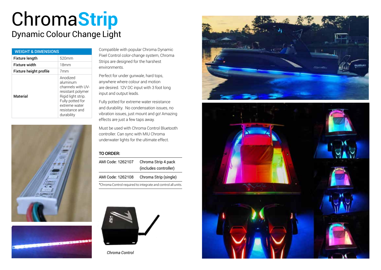## Chroma**Strip** Dynamic Colour Change Light

| <b>WEIGHT &amp; DIMENSIONS</b> |                                                                                                                                                           |  |  |  |  |
|--------------------------------|-----------------------------------------------------------------------------------------------------------------------------------------------------------|--|--|--|--|
| <b>Fixture length</b>          | 520mm                                                                                                                                                     |  |  |  |  |
| <b>Fixture width</b>           | 18 <sub>mm</sub>                                                                                                                                          |  |  |  |  |
| Fixture height profile         | 7mm                                                                                                                                                       |  |  |  |  |
| Material                       | Anodized<br>aluminum<br>channels with UV-<br>resistant polymer<br>Rigid light strip.<br>Fully potted for<br>extreme water<br>resistance and<br>durability |  |  |  |  |





Compatible with popular Chroma Dynamic Pixel Control color-change system, Chroma Strips are designed for the harshest environments.

Perfect for under gunwale, hard tops, anywhere where colour and motion are desired. 12V DC input with 3 foot long input and output leads.

Fully potted for extreme water resistance and durability. No condensation issues, no vibration issues, just mount and go! Amazing effects are just a few taps away.

Must be used with Chroma Control Bluetooth controller. Can sync with MIU Chroma underwater lights for the ultimate effect.

#### **TO ORDER:**

| Chroma Strip 4 pack<br>(includes controller) |
|----------------------------------------------|
| Chroma Strip (single)                        |
|                                              |

**\***Chroma Control required to integrate and control all units.



*Chroma Control*



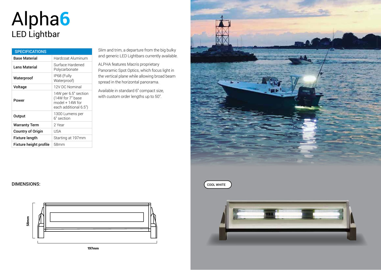## Alpha**6** LED Lightbar

| <b>SPECIFICATIONS</b>    |                                                                                      |  |  |  |
|--------------------------|--------------------------------------------------------------------------------------|--|--|--|
| <b>Base Material</b>     | Hardcoat Aluminum                                                                    |  |  |  |
| Lens Material            | Surface Hardened<br>Polycarbonate                                                    |  |  |  |
| Waterproof               | IP68 (Fully<br>Waterproof)                                                           |  |  |  |
| Voltage                  | 12V DC Nominal                                                                       |  |  |  |
| Power                    | 14W per 6.5" section<br>(14W for 7" base<br>model + 14W for<br>each additional 6.5") |  |  |  |
| Output                   | 1300 Lumens per<br>6" section                                                        |  |  |  |
| <b>Warranty Term</b>     | 2 Year                                                                               |  |  |  |
| <b>Country of Origin</b> | USA                                                                                  |  |  |  |
| Fixture length           | Starting at 197mm                                                                    |  |  |  |
| Fixture height profile   | 58mm                                                                                 |  |  |  |

Slim and trim, a departure from the big bulky and generic LED Lightbars currently available.

ALPHA features Macris proprietary Panoramic Spot Optics, which focus light in the vertical plane while allowing broad beam spread in the horizontal panorama.

Available in standard 6" compact size, with custom order lengths up to 50".



#### COOL WHITE



#### DIMENSIONS:

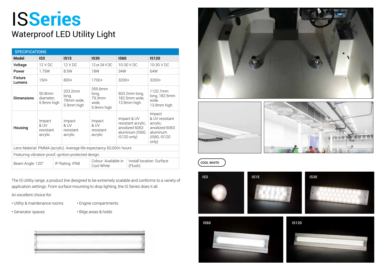## IS**Series** Waterproof LED Utility Light

| <b>SPECIFICATIONS</b>                                                |                                        |                                              |                                                   |                                                                                      |                                      |                                                                                             |  |  |
|----------------------------------------------------------------------|----------------------------------------|----------------------------------------------|---------------------------------------------------|--------------------------------------------------------------------------------------|--------------------------------------|---------------------------------------------------------------------------------------------|--|--|
| Model                                                                | IS <sub>3</sub>                        | <b>IS15</b>                                  | <b>IS30</b>                                       | <b>IS60</b>                                                                          |                                      | <b>IS120</b>                                                                                |  |  |
| Voltage                                                              | 12 V DC                                | 12 V DC                                      | 12 or 24 V DC                                     |                                                                                      | 10-30 V DC                           | 10-30 V DC                                                                                  |  |  |
| Power                                                                | 1.75W                                  | 8.5W                                         | <b>18W</b>                                        | 34W                                                                                  |                                      | 64W                                                                                         |  |  |
| Fixture<br>Lumens                                                    | $150+$                                 | $800+$                                       | $1700+$                                           | $3200+$                                                                              |                                      | $3200+$                                                                                     |  |  |
| <b>Dimensions</b>                                                    | 50.8mm<br>diameter,<br>5.9mm high      | 203.2mm<br>long,<br>79mm wide,<br>5.9mm high | 355.6mm<br>long,<br>79.3mm<br>wide,<br>5.9mm high | 603.2mm long,<br>182.5mm wide.<br>13.9mm high.                                       |                                      | 1120.7mm<br>long, 182.5mm<br>wide.<br>13.9mm high                                           |  |  |
| Housing                                                              | Impact<br>& UV<br>resistant<br>acrylic | Impact<br>& UV<br>resistant<br>acrylic       | Impact<br>& UV<br>resistant<br>acrylic            | Impact & UV<br>resistant acrylic,<br>anodized 6063<br>aluminum (IS60,<br>IS120 only) |                                      | Impact<br>& UV resistant<br>acrylic,<br>anodized 6063<br>aluminum<br>(IS60, IS120)<br>only) |  |  |
| Lens Material: PMMA (acrylic). Average life expectancy 50,000+ hours |                                        |                                              |                                                   |                                                                                      |                                      |                                                                                             |  |  |
| Featuring vibration proof, ignition-protected design.                |                                        |                                              |                                                   |                                                                                      |                                      |                                                                                             |  |  |
| Beam Angle: 120°<br>IP Rating: IP68                                  |                                        |                                              | Colour: Available in<br>Cool White                |                                                                                      | Install location: Surface<br>(Flush) |                                                                                             |  |  |

The IS Utility range, a product line designed to be extremely scalable and conforms to a variety of application settings. From surface mounting to drop lighting, the IS Series does it all.

#### An excellent choice for:

- Utility & maintenance rooms Engine compartments
	-

- 
- Generator spaces Bilge areas & holds









IS3









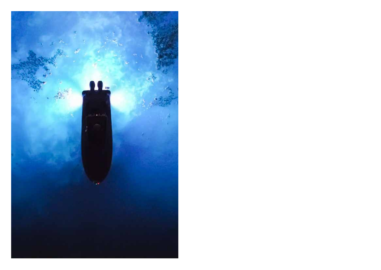